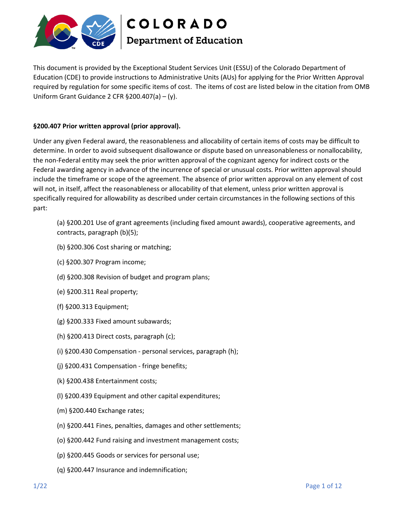

This document is provided by the Exceptional Student Services Unit (ESSU) of the Colorado Department of Education (CDE) to provide instructions to Administrative Units (AUs) for applying for the Prior Written Approval required by regulation for some specific items of cost. The items of cost are listed below in the citation from OMB Uniform Grant Guidance 2 CFR §200.407(a) – (y).

## **§200.407 Prior written approval (prior approval).**

Under any given Federal award, the reasonableness and allocability of certain items of costs may be difficult to determine. In order to avoid subsequent disallowance or dispute based on unreasonableness or nonallocability, the non-Federal entity may seek the prior written approval of the cognizant agency for indirect costs or the Federal awarding agency in advance of the incurrence of special or unusual costs. Prior written approval should include the timeframe or scope of the agreement. The absence of prior written approval on any element of cost will not, in itself, affect the reasonableness or allocability of that element, unless prior written approval is specifically required for allowability as described under certain circumstances in the following sections of this part:

(a) §200.201 Use of grant agreements (including fixed amount awards), cooperative agreements, and contracts, paragraph (b)(5);

- (b) §200.306 Cost sharing or matching;
- (c) §200.307 Program income;
- (d) §200.308 Revision of budget and program plans;
- (e) §200.311 Real property;
- (f) §200.313 Equipment;
- (g) §200.333 Fixed amount subawards;
- (h) §200.413 Direct costs, paragraph (c);
- (i) §200.430 Compensation personal services, paragraph (h);
- (j) §200.431 Compensation fringe benefits;
- (k) §200.438 Entertainment costs;
- (l) §200.439 Equipment and other capital expenditures;
- (m) §200.440 Exchange rates;
- (n) §200.441 Fines, penalties, damages and other settlements;
- (o) §200.442 Fund raising and investment management costs;
- (p) §200.445 Goods or services for personal use;
- (q) §200.447 Insurance and indemnification;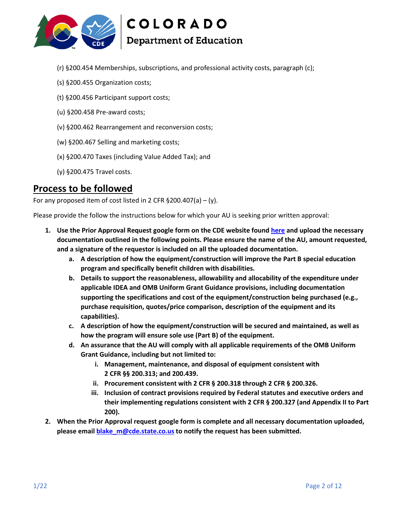

**COLORADO** 

# **Department of Education**

- (r) §200.454 Memberships, subscriptions, and professional activity costs, paragraph (c);
- (s) §200.455 Organization costs;
- (t) §200.456 Participant support costs;
- (u) §200.458 Pre-award costs;
- (v) §200.462 Rearrangement and reconversion costs;
- (w) §200.467 Selling and marketing costs;
- (x) §200.470 Taxes (including Value Added Tax); and
- (y) §200.475 Travel costs.

# **Process to be followed**

For any proposed item of cost listed in 2 CFR  $\S 200.407(a) - (y)$ .

Please provide the follow the instructions below for which your AU is seeking prior written approval:

- **1. Use the Prior Approval Request google form on the CDE website found [here](https://docs.google.com/forms/d/e/1FAIpQLSeAJhgn5e2HFzQ-Fhmp9Q4LYBlVQ_-awQdEmXOwQN6Xcg11Gw/viewform?hl=en) and upload the necessary documentation outlined in the following points. Please ensure the name of the AU, amount requested, and a signature of the requestor is included on all the uploaded documentation.**
	- **a. A description of how the equipment/construction will improve the Part B special education program and specifically benefit children with disabilities.**
	- **b. Details to support the reasonableness, allowability and allocability of the expenditure under applicable IDEA and OMB Uniform Grant Guidance provisions, including documentation supporting the specifications and cost of the equipment/construction being purchased (e.g., purchase requisition, quotes/price comparison, description of the equipment and its capabilities).**
	- **c. A description of how the equipment/construction will be secured and maintained, as well as how the program will ensure sole use (Part B) of the equipment.**
	- **d. An assurance that the AU will comply with all applicable requirements of the OMB Uniform Grant Guidance, including but not limited to:**
		- **i. Management, maintenance, and disposal of equipment consistent with 2 CFR §§ 200.313; and 200.439.**
		- **ii. Procurement consistent with 2 CFR § 200.318 through 2 CFR § 200.326.**
		- **iii. Inclusion of contract provisions required by Federal statutes and executive orders and their implementing regulations consistent with 2 CFR § 200.327 (and Appendix II to Part 200).**
- **2. When the Prior Approval request google form is complete and all necessary documentation uploaded, please email [blake\\_m@cde.state.co.us](mailto:blake_m@cde.state.co.us) to notify the request has been submitted.**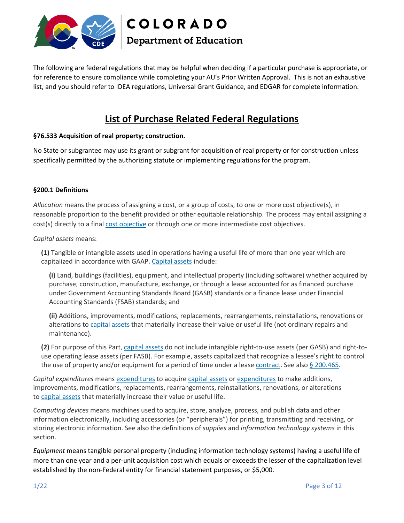

The following are federal regulations that may be helpful when deciding if a particular purchase is appropriate, or for reference to ensure compliance while completing your AU's Prior Written Approval. This is not an exhaustive list, and you should refer to IDEA regulations, Universal Grant Guidance, and EDGAR for complete information.

# **List of Purchase Related Federal Regulations**

# **§76.533 Acquisition of real property; construction.**

No State or subgrantee may use its grant or subgrant for acquisition of real property or for construction unless specifically permitted by the authorizing statute or implementing regulations for the program.

# **§200.1 Definitions**

*Allocation* means the process of assigning a cost, or a group of costs, to one or more cost objective(s), in reasonable proportion to the benefit provided or other equitable relationship. The process may entail assigning a cost(s) directly to a final [cost objective](https://www.law.cornell.edu/definitions/index.php?width=840&height=800&iframe=true&def_id=8297890e7a7b9233bd4beca3e3e2c967&term_occur=999&term_src=Title:2:Subtitle:A:Chapter:II:Part:200:Subpart:A:Subjgrp:27:200.1) or through one or more intermediate cost objectives.

*Capital assets* means:

**(1)** Tangible or intangible assets used in operations having a useful life of more than one year which are capitalized in accordance with GAAP. [Capital assets](https://www.law.cornell.edu/definitions/index.php?width=840&height=800&iframe=true&def_id=a35848f15447f45914e7667303f08d0f&term_occur=999&term_src=Title:2:Subtitle:A:Chapter:II:Part:200:Subpart:A:Subjgrp:27:200.1) include:

**(i)** Land, buildings (facilities), equipment, and intellectual property (including software) whether acquired by purchase, construction, manufacture, exchange, or through a lease accounted for as financed purchase under Government Accounting Standards Board (GASB) standards or a finance lease under Financial Accounting Standards (FSAB) standards; and

**(ii)** Additions, improvements, modifications, replacements, rearrangements, reinstallations, renovations or alterations to [capital assets](https://www.law.cornell.edu/definitions/index.php?width=840&height=800&iframe=true&def_id=a35848f15447f45914e7667303f08d0f&term_occur=999&term_src=Title:2:Subtitle:A:Chapter:II:Part:200:Subpart:A:Subjgrp:27:200.1) that materially increase their value or useful life (not ordinary repairs and maintenance).

**(2)** For purpose of this Part, [capital assets](https://www.law.cornell.edu/definitions/index.php?width=840&height=800&iframe=true&def_id=a35848f15447f45914e7667303f08d0f&term_occur=999&term_src=Title:2:Subtitle:A:Chapter:II:Part:200:Subpart:A:Subjgrp:27:200.1) do not include intangible right-to-use assets (per GASB) and right-touse operating lease assets (per FASB). For example, assets capitalized that recognize a lessee's right to control the use of property and/or equipment for a period of time under a lease [contract.](https://www.law.cornell.edu/definitions/index.php?width=840&height=800&iframe=true&def_id=646059bc8aa88050a7cb06464725dfbb&term_occur=999&term_src=Title:2:Subtitle:A:Chapter:II:Part:200:Subpart:A:Subjgrp:27:200.1) See also  $\S 200.465$ .

*Capital expenditures* means [expenditures](https://www.law.cornell.edu/definitions/index.php?width=840&height=800&iframe=true&def_id=d2310d03983daac2fe8bc676e1201986&term_occur=999&term_src=Title:2:Subtitle:A:Chapter:II:Part:200:Subpart:A:Subjgrp:27:200.1) to acquire [capital assets](https://www.law.cornell.edu/definitions/index.php?width=840&height=800&iframe=true&def_id=a35848f15447f45914e7667303f08d0f&term_occur=999&term_src=Title:2:Subtitle:A:Chapter:II:Part:200:Subpart:A:Subjgrp:27:200.1) or [expenditures](https://www.law.cornell.edu/definitions/index.php?width=840&height=800&iframe=true&def_id=d2310d03983daac2fe8bc676e1201986&term_occur=999&term_src=Title:2:Subtitle:A:Chapter:II:Part:200:Subpart:A:Subjgrp:27:200.1) to make additions, improvements, modifications, replacements, rearrangements, reinstallations, renovations, or alterations to [capital assets](https://www.law.cornell.edu/definitions/index.php?width=840&height=800&iframe=true&def_id=a35848f15447f45914e7667303f08d0f&term_occur=999&term_src=Title:2:Subtitle:A:Chapter:II:Part:200:Subpart:A:Subjgrp:27:200.1) that materially increase their value or useful life.

*Computing devices* means machines used to acquire, store, analyze, process, and publish data and other information electronically, including accessories (or "peripherals") for printing, transmitting and receiving, or storing electronic information. See also the definitions of *supplies* and *information technology systems* in this section.

*Equipment* means tangible personal property (including information technology systems) having a useful life of more than one year and a per-unit acquisition cost which equals or exceeds the lesser of the capitalization level established by the non-Federal entity for financial statement purposes, or \$5,000.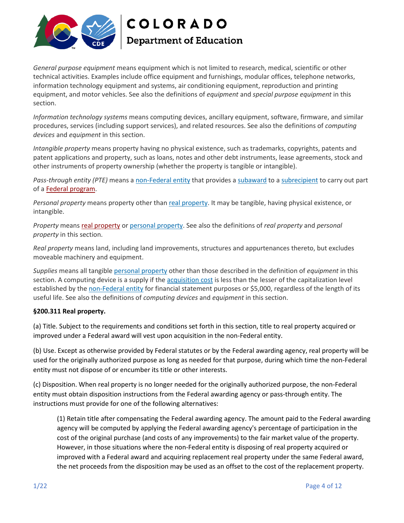

*General purpose equipment* means equipment which is not limited to research, medical, scientific or other technical activities. Examples include office equipment and furnishings, modular offices, telephone networks, information technology equipment and systems, air conditioning equipment, reproduction and printing equipment, and motor vehicles. See also the definitions of *equipment* and *special purpose equipment* in this section.

*Information technology systems* means computing devices, ancillary equipment, software, firmware, and similar procedures, services (including support services), and related resources. See also the definitions of *computing devices* and *equipment* in this section.

*Intangible property* means property having no physical existence, such as trademarks, copyrights, patents and patent applications and property, such as loans, notes and other debt instruments, lease agreements, stock and other instruments of property ownership (whether the property is tangible or intangible).

*Pass-through entity (PTE)* means a [non-Federal entity](https://www.law.cornell.edu/definitions/index.php?width=840&height=800&iframe=true&def_id=de00dfd10f09071c905d0928428a197d&term_occur=999&term_src=Title:2:Subtitle:A:Chapter:II:Part:200:Subpart:A:Subjgrp:27:200.1) that provides a [subaward](https://www.law.cornell.edu/definitions/index.php?width=840&height=800&iframe=true&def_id=cd3b6bbdd85489e2f50207d7536faf9a&term_occur=999&term_src=Title:2:Subtitle:A:Chapter:II:Part:200:Subpart:A:Subjgrp:27:200.1) to a [subrecipient](https://www.law.cornell.edu/definitions/index.php?width=840&height=800&iframe=true&def_id=63d6349963f7364efb8397442e14e141&term_occur=999&term_src=Title:2:Subtitle:A:Chapter:II:Part:200:Subpart:A:Subjgrp:27:200.1) to carry out part of a [Federal program.](https://www.law.cornell.edu/definitions/index.php?width=840&height=800&iframe=true&def_id=7cbd32c5c688475f8e11a278f7b64299&term_occur=999&term_src=Title:2:Subtitle:A:Chapter:II:Part:200:Subpart:A:Subjgrp:27:200.1)

*Personal property* means property other than [real property.](https://www.law.cornell.edu/definitions/index.php?width=840&height=800&iframe=true&def_id=e9a6b10874803e22a56417021f7b4c65&term_occur=999&term_src=Title:2:Subtitle:A:Chapter:II:Part:200:Subpart:A:Subjgrp:27:200.1) It may be tangible, having physical existence, or intangible.

*Property* means [real property](https://www.law.cornell.edu/definitions/index.php?width=840&height=800&iframe=true&def_id=e9a6b10874803e22a56417021f7b4c65&term_occur=999&term_src=Title:2:Subtitle:A:Chapter:II:Part:200:Subpart:A:Subjgrp:27:200.1) or [personal property.](https://www.law.cornell.edu/definitions/index.php?width=840&height=800&iframe=true&def_id=d435474852e94e23e854db2c7f692a8a&term_occur=999&term_src=Title:2:Subtitle:A:Chapter:II:Part:200:Subpart:A:Subjgrp:27:200.1) See also the definitions of *real property* and *personal property* in this section.

*Real property* means land, including land improvements, structures and appurtenances thereto, but excludes moveable machinery and equipment.

*Supplies* means all tangible [personal property](https://www.law.cornell.edu/definitions/index.php?width=840&height=800&iframe=true&def_id=d435474852e94e23e854db2c7f692a8a&term_occur=999&term_src=Title:2:Subtitle:A:Chapter:II:Part:200:Subpart:A:Subjgrp:27:200.1) other than those described in the definition of *equipment* in this section. A computing device is a supply if the [acquisition cost](https://www.law.cornell.edu/definitions/index.php?width=840&height=800&iframe=true&def_id=00ade141eb71c752ddf5a88809ea2724&term_occur=999&term_src=Title:2:Subtitle:A:Chapter:II:Part:200:Subpart:A:Subjgrp:27:200.1) is less than the lesser of the capitalization level established by the [non-Federal entity](https://www.law.cornell.edu/definitions/index.php?width=840&height=800&iframe=true&def_id=de00dfd10f09071c905d0928428a197d&term_occur=999&term_src=Title:2:Subtitle:A:Chapter:II:Part:200:Subpart:A:Subjgrp:27:200.1) for financial statement purposes or \$5,000, regardless of the length of its useful life. See also the definitions of *computing devices* and *equipment* in this section.

#### **§200.311 Real property.**

(a) Title. Subject to the requirements and conditions set forth in this section, title to real property acquired or improved under a Federal award will vest upon acquisition in the non-Federal entity.

(b) Use. Except as otherwise provided by Federal statutes or by the Federal awarding agency, real property will be used for the originally authorized purpose as long as needed for that purpose, during which time the non-Federal entity must not dispose of or encumber its title or other interests.

(c) Disposition. When real property is no longer needed for the originally authorized purpose, the non-Federal entity must obtain disposition instructions from the Federal awarding agency or pass-through entity. The instructions must provide for one of the following alternatives:

(1) Retain title after compensating the Federal awarding agency. The amount paid to the Federal awarding agency will be computed by applying the Federal awarding agency's percentage of participation in the cost of the original purchase (and costs of any improvements) to the fair market value of the property. However, in those situations where the non-Federal entity is disposing of real property acquired or improved with a Federal award and acquiring replacement real property under the same Federal award, the net proceeds from the disposition may be used as an offset to the cost of the replacement property.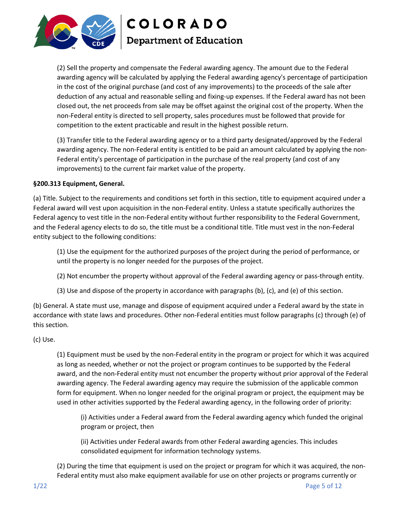

(2) Sell the property and compensate the Federal awarding agency. The amount due to the Federal awarding agency will be calculated by applying the Federal awarding agency's percentage of participation in the cost of the original purchase (and cost of any improvements) to the proceeds of the sale after deduction of any actual and reasonable selling and fixing-up expenses. If the Federal award has not been closed out, the net proceeds from sale may be offset against the original cost of the property. When the non-Federal entity is directed to sell property, sales procedures must be followed that provide for competition to the extent practicable and result in the highest possible return.

(3) Transfer title to the Federal awarding agency or to a third party designated/approved by the Federal awarding agency. The non-Federal entity is entitled to be paid an amount calculated by applying the non-Federal entity's percentage of participation in the purchase of the real property (and cost of any improvements) to the current fair market value of the property.

# **§200.313 Equipment, General.**

(a) Title. Subject to the requirements and conditions set forth in this section, title to equipment acquired under a Federal award will vest upon acquisition in the non-Federal entity. Unless a statute specifically authorizes the Federal agency to vest title in the non-Federal entity without further responsibility to the Federal Government, and the Federal agency elects to do so, the title must be a conditional title. Title must vest in the non-Federal entity subject to the following conditions:

(1) Use the equipment for the authorized purposes of the project during the period of performance, or until the property is no longer needed for the purposes of the project.

- (2) Not encumber the property without approval of the Federal awarding agency or pass-through entity.
- (3) Use and dispose of the property in accordance with paragraphs (b), (c), and (e) of this section.

(b) General. A state must use, manage and dispose of equipment acquired under a Federal award by the state in accordance with state laws and procedures. Other non-Federal entities must follow paragraphs (c) through (e) of this section.

#### (c) Use.

(1) Equipment must be used by the non-Federal entity in the program or project for which it was acquired as long as needed, whether or not the project or program continues to be supported by the Federal award, and the non-Federal entity must not encumber the property without prior approval of the Federal awarding agency. The Federal awarding agency may require the submission of the applicable common form for equipment. When no longer needed for the original program or project, the equipment may be used in other activities supported by the Federal awarding agency, in the following order of priority:

(i) Activities under a Federal award from the Federal awarding agency which funded the original program or project, then

(ii) Activities under Federal awards from other Federal awarding agencies. This includes consolidated equipment for information technology systems.

(2) During the time that equipment is used on the project or program for which it was acquired, the non-Federal entity must also make equipment available for use on other projects or programs currently or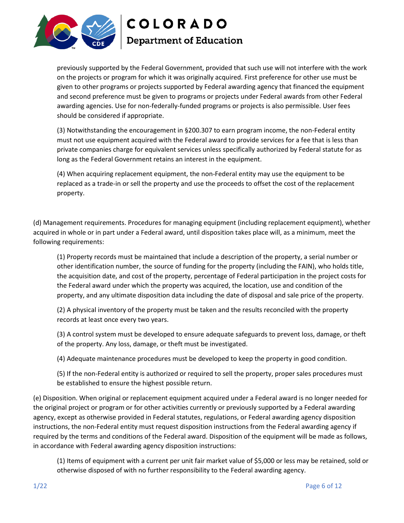

previously supported by the Federal Government, provided that such use will not interfere with the work on the projects or program for which it was originally acquired. First preference for other use must be given to other programs or projects supported by Federal awarding agency that financed the equipment and second preference must be given to programs or projects under Federal awards from other Federal awarding agencies. Use for non-federally-funded programs or projects is also permissible. User fees should be considered if appropriate.

(3) Notwithstanding the encouragement in §200.307 to earn program income, the non-Federal entity must not use equipment acquired with the Federal award to provide services for a fee that is less than private companies charge for equivalent services unless specifically authorized by Federal statute for as long as the Federal Government retains an interest in the equipment.

(4) When acquiring replacement equipment, the non-Federal entity may use the equipment to be replaced as a trade-in or sell the property and use the proceeds to offset the cost of the replacement property.

(d) Management requirements. Procedures for managing equipment (including replacement equipment), whether acquired in whole or in part under a Federal award, until disposition takes place will, as a minimum, meet the following requirements:

(1) Property records must be maintained that include a description of the property, a serial number or other identification number, the source of funding for the property (including the FAIN), who holds title, the acquisition date, and cost of the property, percentage of Federal participation in the project costs for the Federal award under which the property was acquired, the location, use and condition of the property, and any ultimate disposition data including the date of disposal and sale price of the property.

(2) A physical inventory of the property must be taken and the results reconciled with the property records at least once every two years.

(3) A control system must be developed to ensure adequate safeguards to prevent loss, damage, or theft of the property. Any loss, damage, or theft must be investigated.

(4) Adequate maintenance procedures must be developed to keep the property in good condition.

(5) If the non-Federal entity is authorized or required to sell the property, proper sales procedures must be established to ensure the highest possible return.

(e) Disposition. When original or replacement equipment acquired under a Federal award is no longer needed for the original project or program or for other activities currently or previously supported by a Federal awarding agency, except as otherwise provided in Federal statutes, regulations, or Federal awarding agency disposition instructions, the non-Federal entity must request disposition instructions from the Federal awarding agency if required by the terms and conditions of the Federal award. Disposition of the equipment will be made as follows, in accordance with Federal awarding agency disposition instructions:

(1) Items of equipment with a current per unit fair market value of \$5,000 or less may be retained, sold or otherwise disposed of with no further responsibility to the Federal awarding agency.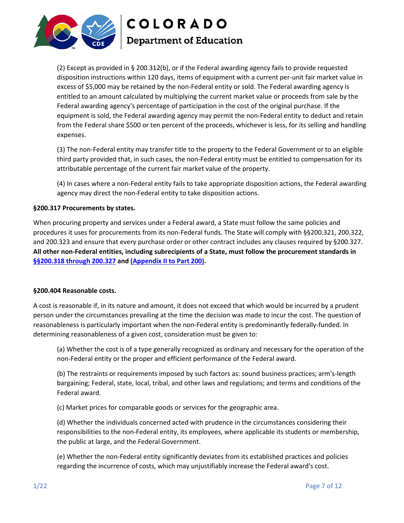

(2) Except as provided in § 200.312(b), or if the Federal awarding agency fails to provide requested disposition instructions within 120 days, items of equipment with a current per-unit fair market value in excess of \$5,000 may be retained by the non-Federal entity or sold. The Federal awarding agency is entitled to an amount calculated by multiplying the current market value or proceeds from sale by the Federal awarding agency's percentage of participation in the cost of the original purchase. If the equipment is sold, the Federal awarding agency may permit the non-Federal entity to deduct and retain from the Federal share \$500 or ten percent of the proceeds, whichever is less, for its selling and handling expenses.

(3) The non-Federal entity may transfer title to the property to the Federal Government or to an eligible third party provided that, in such cases, the non-Federal entity must be entitled to compensation for its attributable percentage of the current fair market value of the property.

(4) In cases where a non-Federal entity fails to take appropriate disposition actions, the Federal awarding agency may direct the non-Federal entity to take disposition actions.

#### **§200.317 Procurements by states.**

When procuring property and services under a Federal award, a State must follow the same policies and procedures it uses for procurements from its non-Federal funds. The State will comply with §§200.321, 200.322, and 200.323 and ensure that every purchase order or other contract includes any clauses required by §200.327. **All other non-Federal entities, including subrecipients of a State, must follow the procurement standards in [§§200.318 through](https://www.law.cornell.edu/cfr/text/2/200.318) [200.327](https://www.law.cornell.edu/cfr/text/2/200.318) and [\(Appendix II to Part 200\).](https://www.law.cornell.edu/cfr/text/2/appendix-II_to_part_200)**

#### **§200.404 Reasonable costs.**

A cost is reasonable if, in its nature and amount, it does not exceed that which would be incurred by a prudent person under the circumstances prevailing at the time the decision was made to incur the cost. The question of reasonableness is particularly important when the non-Federal entity is predominantly federally-funded. In determining reasonableness of a given cost, consideration must be given to:

(a) Whether the cost is of a type generally recognized as ordinary and necessary for the operation of the non-Federal entity or the proper and efficient performance of the Federal award.

(b) The restraints or requirements imposed by such factors as: sound business practices; arm's-length bargaining; Federal, state, local, tribal, and other laws and regulations; and terms and conditions of the Federal award.

(c) Market prices for comparable goods or services for the geographic area.

(d) Whether the individuals concerned acted with prudence in the circumstances considering their responsibilities to the non-Federal entity, its employees, where applicable its students or membership, the public at large, and the Federal Government.

(e) Whether the non-Federal entity significantly deviates from its established practices and policies regarding the incurrence of costs, which may unjustifiably increase the Federal award's cost.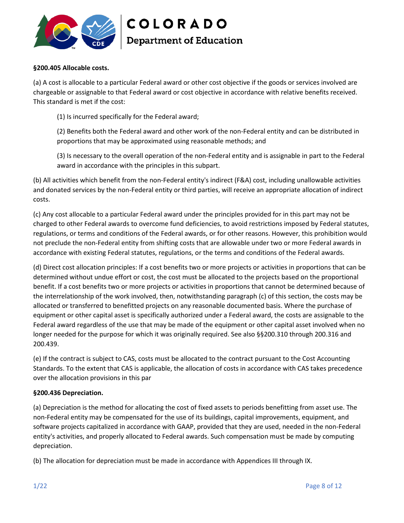

## **§200.405 Allocable costs.**

(a) A cost is allocable to a particular Federal award or other cost objective if the goods or services involved are chargeable or assignable to that Federal award or cost objective in accordance with relative benefits received. This standard is met if the cost:

(1) Is incurred specifically for the Federal award;

(2) Benefits both the Federal award and other work of the non-Federal entity and can be distributed in proportions that may be approximated using reasonable methods; and

(3) Is necessary to the overall operation of the non-Federal entity and is assignable in part to the Federal award in accordance with the principles in this subpart.

(b) All activities which benefit from the non-Federal entity's indirect (F&A) cost, including unallowable activities and donated services by the non-Federal entity or third parties, will receive an appropriate allocation of indirect costs.

(c) Any cost allocable to a particular Federal award under the principles provided for in this part may not be charged to other Federal awards to overcome fund deficiencies, to avoid restrictions imposed by Federal statutes, regulations, or terms and conditions of the Federal awards, or for other reasons. However, this prohibition would not preclude the non-Federal entity from shifting costs that are allowable under two or more Federal awards in accordance with existing Federal statutes, regulations, or the terms and conditions of the Federal awards.

(d) Direct cost allocation principles: If a cost benefits two or more projects or activities in proportions that can be determined without undue effort or cost, the cost must be allocated to the projects based on the proportional benefit. If a cost benefits two or more projects or activities in proportions that cannot be determined because of the interrelationship of the work involved, then, notwithstanding paragraph (c) of this section, the costs may be allocated or transferred to benefitted projects on any reasonable documented basis. Where the purchase of equipment or other capital asset is specifically authorized under a Federal award, the costs are assignable to the Federal award regardless of the use that may be made of the equipment or other capital asset involved when no longer needed for the purpose for which it was originally required. See also §§200.310 through 200.316 and 200.439.

(e) If the contract is subject to CAS, costs must be allocated to the contract pursuant to the Cost Accounting Standards. To the extent that CAS is applicable, the allocation of costs in accordance with CAS takes precedence over the allocation provisions in this par

# **§200.436 Depreciation.**

(a) Depreciation is the method for allocating the cost of fixed assets to periods benefitting from asset use. The non-Federal entity may be compensated for the use of its buildings, capital improvements, equipment, and software projects capitalized in accordance with GAAP, provided that they are used, needed in the non-Federal entity's activities, and properly allocated to Federal awards. Such compensation must be made by computing depreciation.

(b) The allocation for depreciation must be made in accordance with Appendices III through IX.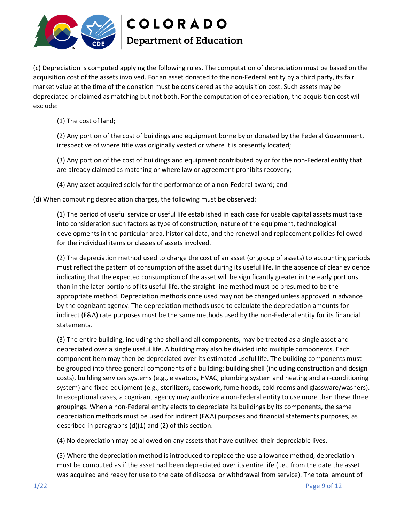

(c) Depreciation is computed applying the following rules. The computation of depreciation must be based on the acquisition cost of the assets involved. For an asset donated to the non-Federal entity by a third party, its fair market value at the time of the donation must be considered as the acquisition cost. Such assets may be depreciated or claimed as matching but not both. For the computation of depreciation, the acquisition cost will exclude:

(1) The cost of land;

(2) Any portion of the cost of buildings and equipment borne by or donated by the Federal Government, irrespective of where title was originally vested or where it is presently located;

(3) Any portion of the cost of buildings and equipment contributed by or for the non-Federal entity that are already claimed as matching or where law or agreement prohibits recovery;

(4) Any asset acquired solely for the performance of a non-Federal award; and

(d) When computing depreciation charges, the following must be observed:

(1) The period of useful service or useful life established in each case for usable capital assets must take into consideration such factors as type of construction, nature of the equipment, technological developments in the particular area, historical data, and the renewal and replacement policies followed for the individual items or classes of assets involved.

(2) The depreciation method used to charge the cost of an asset (or group of assets) to accounting periods must reflect the pattern of consumption of the asset during its useful life. In the absence of clear evidence indicating that the expected consumption of the asset will be significantly greater in the early portions than in the later portions of its useful life, the straight-line method must be presumed to be the appropriate method. Depreciation methods once used may not be changed unless approved in advance by the cognizant agency. The depreciation methods used to calculate the depreciation amounts for indirect (F&A) rate purposes must be the same methods used by the non-Federal entity for its financial statements.

(3) The entire building, including the shell and all components, may be treated as a single asset and depreciated over a single useful life. A building may also be divided into multiple components. Each component item may then be depreciated over its estimated useful life. The building components must be grouped into three general components of a building: building shell (including construction and design costs), building services systems (e.g., elevators, HVAC, plumbing system and heating and air-conditioning system) and fixed equipment (e.g., sterilizers, casework, fume hoods, cold rooms and glassware/washers). In exceptional cases, a cognizant agency may authorize a non-Federal entity to use more than these three groupings. When a non-Federal entity elects to depreciate its buildings by its components, the same depreciation methods must be used for indirect (F&A) purposes and financial statements purposes, as described in paragraphs (d)(1) and (2) of this section.

(4) No depreciation may be allowed on any assets that have outlived their depreciable lives.

(5) Where the depreciation method is introduced to replace the use allowance method, depreciation must be computed as if the asset had been depreciated over its entire life (i.e., from the date the asset was acquired and ready for use to the date of disposal or withdrawal from service). The total amount of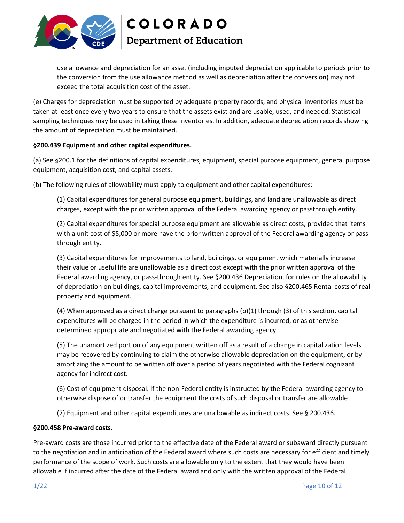

use allowance and depreciation for an asset (including imputed depreciation applicable to periods prior to the conversion from the use allowance method as well as depreciation after the conversion) may not exceed the total acquisition cost of the asset.

(e) Charges for depreciation must be supported by adequate property records, and physical inventories must be taken at least once every two years to ensure that the assets exist and are usable, used, and needed. Statistical sampling techniques may be used in taking these inventories. In addition, adequate depreciation records showing the amount of depreciation must be maintained.

#### **§200.439 Equipment and other capital expenditures.**

(a) See §200.1 for the definitions of capital expenditures, equipment, special purpose equipment, general purpose equipment, acquisition cost, and capital assets.

(b) The following rules of allowability must apply to equipment and other capital expenditures:

(1) Capital expenditures for general purpose equipment, buildings, and land are unallowable as direct charges, except with the prior written approval of the Federal awarding agency or passthrough entity.

(2) Capital expenditures for special purpose equipment are allowable as direct costs, provided that items with a unit cost of \$5,000 or more have the prior written approval of the Federal awarding agency or passthrough entity.

(3) Capital expenditures for improvements to land, buildings, or equipment which materially increase their value or useful life are unallowable as a direct cost except with the prior written approval of the Federal awarding agency, or pass-through entity. See §200.436 Depreciation, for rules on the allowability of depreciation on buildings, capital improvements, and equipment. See also §200.465 Rental costs of real property and equipment.

(4) When approved as a direct charge pursuant to paragraphs (b)(1) through (3) of this section, capital expenditures will be charged in the period in which the expenditure is incurred, or as otherwise determined appropriate and negotiated with the Federal awarding agency.

(5) The unamortized portion of any equipment written off as a result of a change in capitalization levels may be recovered by continuing to claim the otherwise allowable depreciation on the equipment, or by amortizing the amount to be written off over a period of years negotiated with the Federal cognizant agency for indirect cost.

(6) Cost of equipment disposal. If the non-Federal entity is instructed by the Federal awarding agency to otherwise dispose of or transfer the equipment the costs of such disposal or transfer are allowable

(7) Equipment and other capital expenditures are unallowable as indirect costs. See § 200.436.

#### **§200.458 Pre-award costs.**

Pre-award costs are those incurred prior to the effective date of the Federal award or subaward directly pursuant to the negotiation and in anticipation of the Federal award where such costs are necessary for efficient and timely performance of the scope of work. Such costs are allowable only to the extent that they would have been allowable if incurred after the date of the Federal award and only with the written approval of the Federal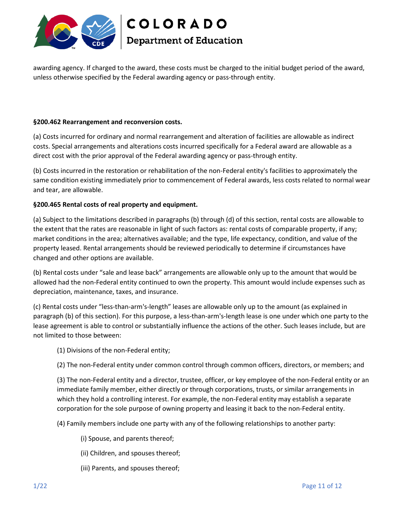

awarding agency. If charged to the award, these costs must be charged to the initial budget period of the award, unless otherwise specified by the Federal awarding agency or pass-through entity.

#### **§200.462 Rearrangement and reconversion costs.**

(a) Costs incurred for ordinary and normal rearrangement and alteration of facilities are allowable as indirect costs. Special arrangements and alterations costs incurred specifically for a Federal award are allowable as a direct cost with the prior approval of the Federal awarding agency or pass-through entity.

(b) Costs incurred in the restoration or rehabilitation of the non-Federal entity's facilities to approximately the same condition existing immediately prior to commencement of Federal awards, less costs related to normal wear and tear, are allowable.

#### **§200.465 Rental costs of real property and equipment.**

(a) Subject to the limitations described in paragraphs (b) through (d) of this section, rental costs are allowable to the extent that the rates are reasonable in light of such factors as: rental costs of comparable property, if any; market conditions in the area; alternatives available; and the type, life expectancy, condition, and value of the property leased. Rental arrangements should be reviewed periodically to determine if circumstances have changed and other options are available.

(b) Rental costs under "sale and lease back" arrangements are allowable only up to the amount that would be allowed had the non-Federal entity continued to own the property. This amount would include expenses such as depreciation, maintenance, taxes, and insurance.

(c) Rental costs under "less-than-arm's-length" leases are allowable only up to the amount (as explained in paragraph (b) of this section). For this purpose, a less-than-arm's-length lease is one under which one party to the lease agreement is able to control or substantially influence the actions of the other. Such leases include, but are not limited to those between:

(1) Divisions of the non-Federal entity;

(2) The non-Federal entity under common control through common officers, directors, or members; and

(3) The non-Federal entity and a director, trustee, officer, or key employee of the non-Federal entity or an immediate family member, either directly or through corporations, trusts, or similar arrangements in which they hold a controlling interest. For example, the non-Federal entity may establish a separate corporation for the sole purpose of owning property and leasing it back to the non-Federal entity.

(4) Family members include one party with any of the following relationships to another party:

- (i) Spouse, and parents thereof;
- (ii) Children, and spouses thereof;
- (iii) Parents, and spouses thereof;